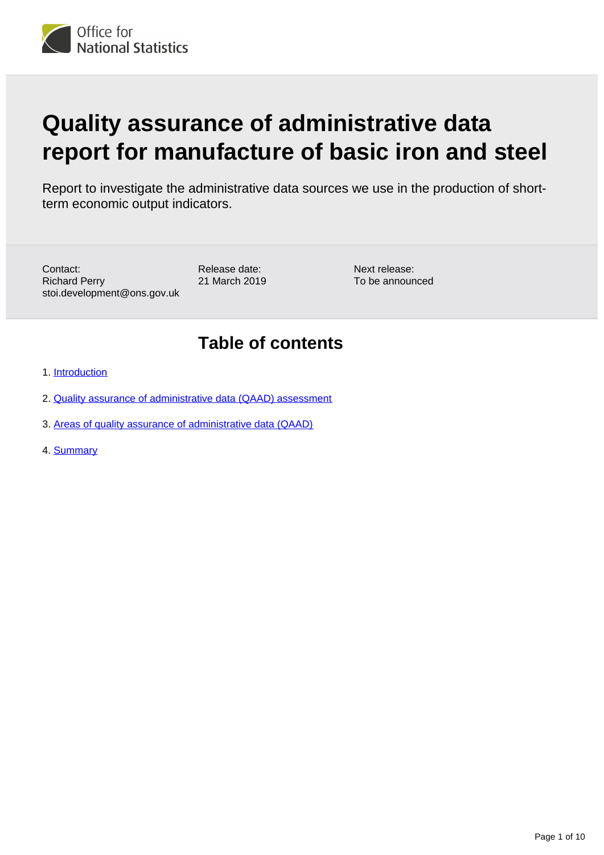

# **Quality assurance of administrative data report for manufacture of basic iron and steel**

Report to investigate the administrative data sources we use in the production of shortterm economic output indicators.

Contact: Richard Perry stoi.development@ons.gov.uk Release date: 21 March 2019

Next release: To be announced

# **Table of contents**

- 1. [Introduction](#page-1-0)
- 2. [Quality assurance of administrative data \(QAAD\) assessment](#page-2-0)
- 3. [Areas of quality assurance of administrative data \(QAAD\)](#page-4-0)
- 4. [Summary](#page-8-0)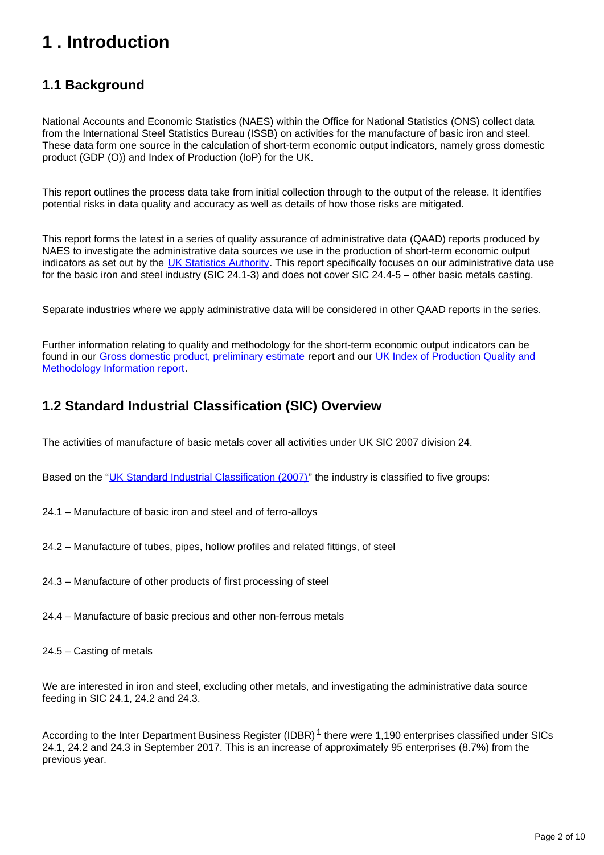# <span id="page-1-0"></span>**1 . Introduction**

# **1.1 Background**

National Accounts and Economic Statistics (NAES) within the Office for National Statistics (ONS) collect data from the International Steel Statistics Bureau (ISSB) on activities for the manufacture of basic iron and steel. These data form one source in the calculation of short-term economic output indicators, namely gross domestic product (GDP (O)) and Index of Production (IoP) for the UK.

This report outlines the process data take from initial collection through to the output of the release. It identifies potential risks in data quality and accuracy as well as details of how those risks are mitigated.

This report forms the latest in a series of quality assurance of administrative data (QAAD) reports produced by NAES to investigate the administrative data sources we use in the production of short-term economic output indicators as set out by the [UK Statistics Authority.](https://www.statisticsauthority.gov.uk/monitoring-and-assessment/monitoring/administrative-data-and-official-statistics/) This report specifically focuses on our administrative data use for the basic iron and steel industry (SIC 24.1-3) and does not cover SIC 24.4-5 – other basic metals casting.

Separate industries where we apply administrative data will be considered in other QAAD reports in the series.

Further information relating to quality and methodology for the short-term economic output indicators can be found in our [Gross domestic product, preliminary estimate](https://www.ons.gov.uk/economy/grossdomesticproductgdp/bulletins/grossdomesticproductpreliminaryestimate/octtodec2016) report and our [UK Index of Production Quality and](https://www.ons.gov.uk/economy/nationalaccounts/uksectoraccounts/qmis/indexofproductionqmi)  [Methodology Information report](https://www.ons.gov.uk/economy/nationalaccounts/uksectoraccounts/qmis/indexofproductionqmi).

# **1.2 Standard Industrial Classification (SIC) Overview**

The activities of manufacture of basic metals cover all activities under UK SIC 2007 division 24.

Based on the "[UK Standard Industrial Classification \(2007\)](http://www.ons.gov.uk/ons/guide-method/classifications/current-standard-classifications/standard-industrial-classification/index.html)" the industry is classified to five groups:

- 24.1 Manufacture of basic iron and steel and of ferro-alloys
- 24.2 Manufacture of tubes, pipes, hollow profiles and related fittings, of steel
- 24.3 Manufacture of other products of first processing of steel
- 24.4 Manufacture of basic precious and other non-ferrous metals
- 24.5 Casting of metals

We are interested in iron and steel, excluding other metals, and investigating the administrative data source feeding in SIC 24.1, 24.2 and 24.3.

According to the Inter Department Business Register (IDBR)<sup>1</sup> there were 1,190 enterprises classified under SICs 24.1, 24.2 and 24.3 in September 2017. This is an increase of approximately 95 enterprises (8.7%) from the previous year.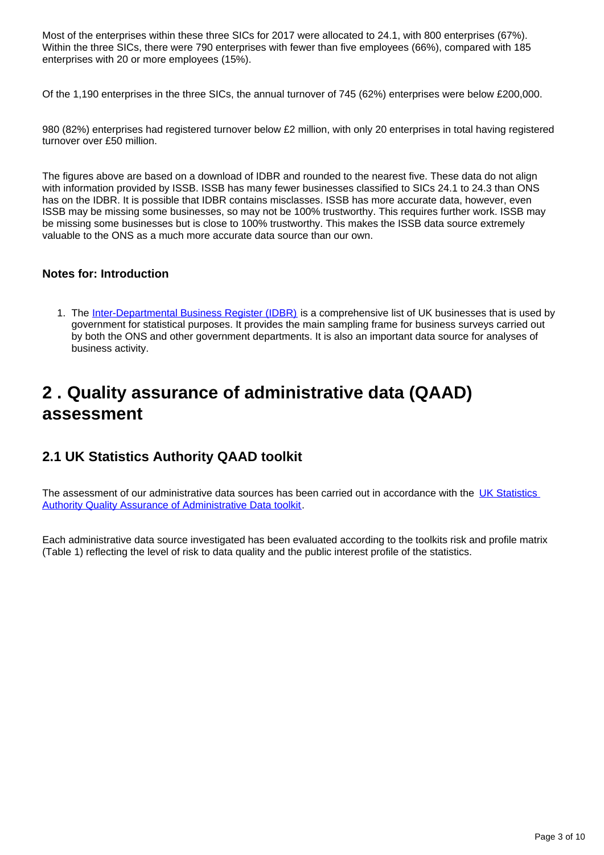Most of the enterprises within these three SICs for 2017 were allocated to 24.1, with 800 enterprises (67%). Within the three SICs, there were 790 enterprises with fewer than five employees (66%), compared with 185 enterprises with 20 or more employees (15%).

Of the 1,190 enterprises in the three SICs, the annual turnover of 745 (62%) enterprises were below £200,000.

980 (82%) enterprises had registered turnover below £2 million, with only 20 enterprises in total having registered turnover over £50 million.

The figures above are based on a download of IDBR and rounded to the nearest five. These data do not align with information provided by ISSB. ISSB has many fewer businesses classified to SICs 24.1 to 24.3 than ONS has on the IDBR. It is possible that IDBR contains misclasses. ISSB has more accurate data, however, even ISSB may be missing some businesses, so may not be 100% trustworthy. This requires further work. ISSB may be missing some businesses but is close to 100% trustworthy. This makes the ISSB data source extremely valuable to the ONS as a much more accurate data source than our own.

#### **Notes for: Introduction**

1. The [Inter-Departmental Business Register \(IDBR\)](http://www.ons.gov.uk/ons/about-ons/products-and-services/idbr/index.html) is a comprehensive list of UK businesses that is used by government for statistical purposes. It provides the main sampling frame for business surveys carried out by both the ONS and other government departments. It is also an important data source for analyses of business activity.

# <span id="page-2-0"></span>**2 . Quality assurance of administrative data (QAAD) assessment**

# **2.1 UK Statistics Authority QAAD toolkit**

The assessment of our administrative data sources has been carried out in accordance with the UK Statistics [Authority Quality Assurance of Administrative Data toolkit.](https://www.statisticsauthority.gov.uk/publication/administrative-data-quality-assurance-toolkit/)

Each administrative data source investigated has been evaluated according to the toolkits risk and profile matrix (Table 1) reflecting the level of risk to data quality and the public interest profile of the statistics.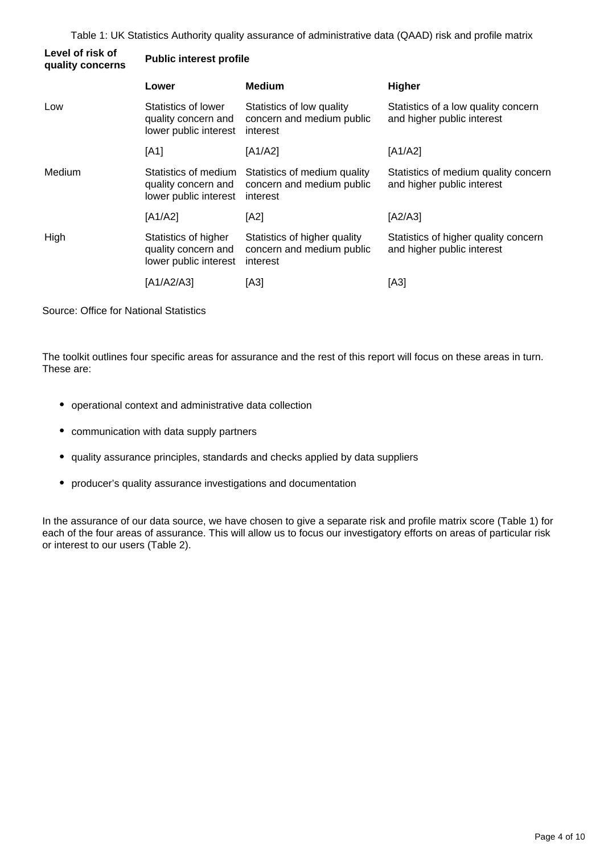Table 1: UK Statistics Authority quality assurance of administrative data (QAAD) risk and profile matrix

| Level of risk of<br>quality concerns | <b>Public interest profile</b>                                       |                                                                       |                                                                    |  |
|--------------------------------------|----------------------------------------------------------------------|-----------------------------------------------------------------------|--------------------------------------------------------------------|--|
|                                      | Lower                                                                | <b>Medium</b>                                                         | <b>Higher</b>                                                      |  |
| Low                                  | Statistics of lower<br>quality concern and<br>lower public interest  | Statistics of low quality<br>concern and medium public<br>interest    | Statistics of a low quality concern<br>and higher public interest  |  |
|                                      | [A1]                                                                 | [A1/A2]                                                               | [A1/A2]                                                            |  |
| Medium<br>High                       | Statistics of medium<br>quality concern and<br>lower public interest | Statistics of medium quality<br>concern and medium public<br>interest | Statistics of medium quality concern<br>and higher public interest |  |
|                                      | [A1/A2]                                                              | [A2]                                                                  | [A2/A3]                                                            |  |
|                                      | Statistics of higher<br>quality concern and<br>lower public interest | Statistics of higher quality<br>concern and medium public<br>interest | Statistics of higher quality concern<br>and higher public interest |  |
|                                      | [A1/A2/A3]                                                           | [A3]                                                                  | [A3]                                                               |  |

Source: Office for National Statistics

The toolkit outlines four specific areas for assurance and the rest of this report will focus on these areas in turn. These are:

- operational context and administrative data collection
- communication with data supply partners
- quality assurance principles, standards and checks applied by data suppliers
- producer's quality assurance investigations and documentation

In the assurance of our data source, we have chosen to give a separate risk and profile matrix score (Table 1) for each of the four areas of assurance. This will allow us to focus our investigatory efforts on areas of particular risk or interest to our users (Table 2).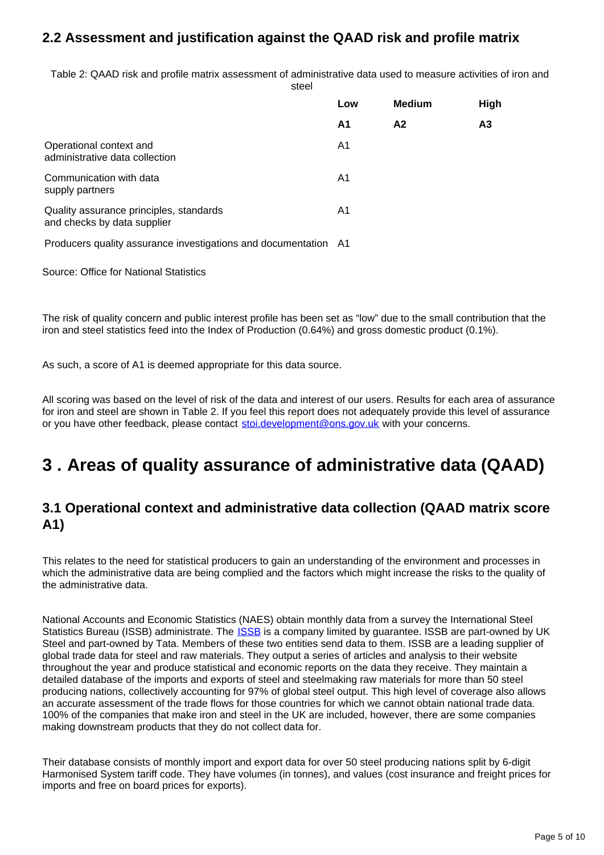# **2.2 Assessment and justification against the QAAD risk and profile matrix**

Table 2: QAAD risk and profile matrix assessment of administrative data used to measure activities of iron and steel

|                                                                        | Low | <b>Medium</b>  | High           |
|------------------------------------------------------------------------|-----|----------------|----------------|
|                                                                        | A1  | A <sub>2</sub> | A <sub>3</sub> |
| Operational context and<br>administrative data collection              | A1  |                |                |
| Communication with data<br>supply partners                             | A1  |                |                |
| Quality assurance principles, standards<br>and checks by data supplier | A1  |                |                |
| Producers quality assurance investigations and documentation A1        |     |                |                |

Source: Office for National Statistics

The risk of quality concern and public interest profile has been set as "low" due to the small contribution that the iron and steel statistics feed into the Index of Production (0.64%) and gross domestic product (0.1%).

As such, a score of A1 is deemed appropriate for this data source.

All scoring was based on the level of risk of the data and interest of our users. Results for each area of assurance for iron and steel are shown in Table 2. If you feel this report does not adequately provide this level of assurance or you have other feedback, please contact stoi.development@ons.gov.uk with your concerns.

# <span id="page-4-0"></span>**3 . Areas of quality assurance of administrative data (QAAD)**

### **3.1 Operational context and administrative data collection (QAAD matrix score A1)**

This relates to the need for statistical producers to gain an understanding of the environment and processes in which the administrative data are being complied and the factors which might increase the risks to the quality of the administrative data.

National Accounts and Economic Statistics (NAES) obtain monthly data from a survey the International Steel Statistics Bureau ([ISSB](http://www.issb.co.uk/about)) administrate. The **ISSB** is a company limited by guarantee. ISSB are part-owned by UK Steel and part-owned by Tata. Members of these two entities send data to them. ISSB are a leading supplier of global trade data for steel and raw materials. They output a series of articles and analysis to their website throughout the year and produce statistical and economic reports on the data they receive. They maintain a detailed database of the imports and exports of steel and steelmaking raw materials for more than 50 steel producing nations, collectively accounting for 97% of global steel output. This high level of coverage also allows an accurate assessment of the trade flows for those countries for which we cannot obtain national trade data. 100% of the companies that make iron and steel in the UK are included, however, there are some companies making downstream products that they do not collect data for.

Their database consists of monthly import and export data for over 50 steel producing nations split by 6-digit Harmonised System tariff code. They have volumes (in tonnes), and values (cost insurance and freight prices for imports and free on board prices for exports).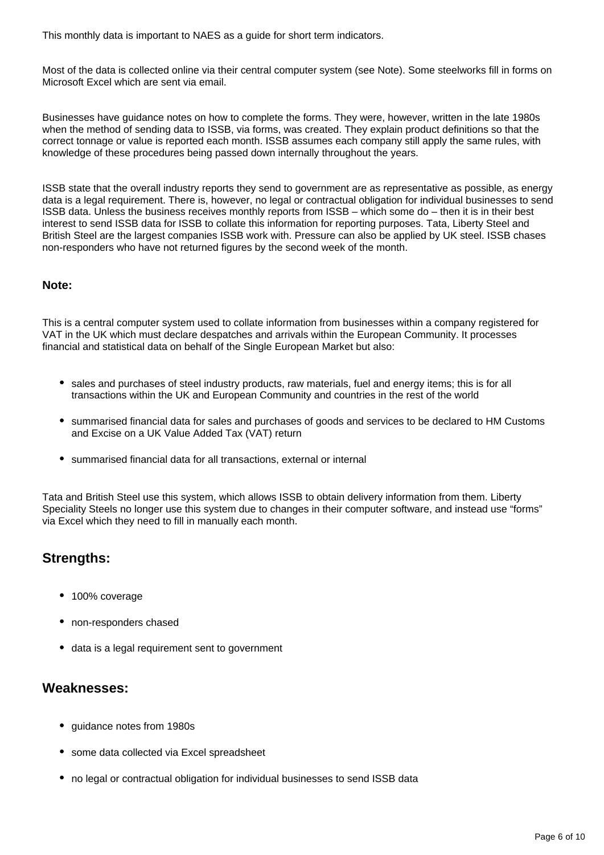This monthly data is important to NAES as a guide for short term indicators.

Most of the data is collected online via their central computer system (see Note). Some steelworks fill in forms on Microsoft Excel which are sent via email.

Businesses have guidance notes on how to complete the forms. They were, however, written in the late 1980s when the method of sending data to ISSB, via forms, was created. They explain product definitions so that the correct tonnage or value is reported each month. ISSB assumes each company still apply the same rules, with knowledge of these procedures being passed down internally throughout the years.

ISSB state that the overall industry reports they send to government are as representative as possible, as energy data is a legal requirement. There is, however, no legal or contractual obligation for individual businesses to send ISSB data. Unless the business receives monthly reports from ISSB – which some do – then it is in their best interest to send ISSB data for ISSB to collate this information for reporting purposes. Tata, Liberty Steel and British Steel are the largest companies ISSB work with. Pressure can also be applied by UK steel. ISSB chases non-responders who have not returned figures by the second week of the month.

#### **Note:**

This is a central computer system used to collate information from businesses within a company registered for VAT in the UK which must declare despatches and arrivals within the European Community. It processes financial and statistical data on behalf of the Single European Market but also:

- sales and purchases of steel industry products, raw materials, fuel and energy items; this is for all transactions within the UK and European Community and countries in the rest of the world
- summarised financial data for sales and purchases of goods and services to be declared to HM Customs and Excise on a UK Value Added Tax (VAT) return
- summarised financial data for all transactions, external or internal

Tata and British Steel use this system, which allows ISSB to obtain delivery information from them. Liberty Speciality Steels no longer use this system due to changes in their computer software, and instead use "forms" via Excel which they need to fill in manually each month.

#### **Strengths:**

- 100% coverage
- non-responders chased
- data is a legal requirement sent to government

#### **Weaknesses:**

- guidance notes from 1980s
- some data collected via Excel spreadsheet
- no legal or contractual obligation for individual businesses to send ISSB data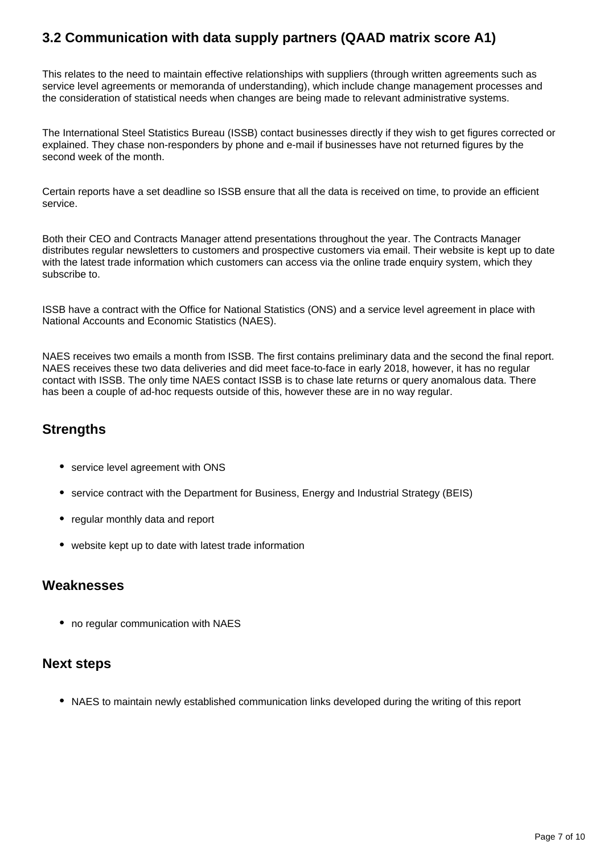# **3.2 Communication with data supply partners (QAAD matrix score A1)**

This relates to the need to maintain effective relationships with suppliers (through written agreements such as service level agreements or memoranda of understanding), which include change management processes and the consideration of statistical needs when changes are being made to relevant administrative systems.

The International Steel Statistics Bureau (ISSB) contact businesses directly if they wish to get figures corrected or explained. They chase non-responders by phone and e-mail if businesses have not returned figures by the second week of the month.

Certain reports have a set deadline so ISSB ensure that all the data is received on time, to provide an efficient service.

Both their CEO and Contracts Manager attend presentations throughout the year. The Contracts Manager distributes regular newsletters to customers and prospective customers via email. Their website is kept up to date with the latest trade information which customers can access via the online trade enquiry system, which they subscribe to.

ISSB have a contract with the Office for National Statistics (ONS) and a service level agreement in place with National Accounts and Economic Statistics (NAES).

NAES receives two emails a month from ISSB. The first contains preliminary data and the second the final report. NAES receives these two data deliveries and did meet face-to-face in early 2018, however, it has no regular contact with ISSB. The only time NAES contact ISSB is to chase late returns or query anomalous data. There has been a couple of ad-hoc requests outside of this, however these are in no way regular.

### **Strengths**

- service level agreement with ONS
- service contract with the Department for Business, Energy and Industrial Strategy (BEIS)
- regular monthly data and report
- website kept up to date with latest trade information

#### **Weaknesses**

• no regular communication with NAES

### **Next steps**

NAES to maintain newly established communication links developed during the writing of this report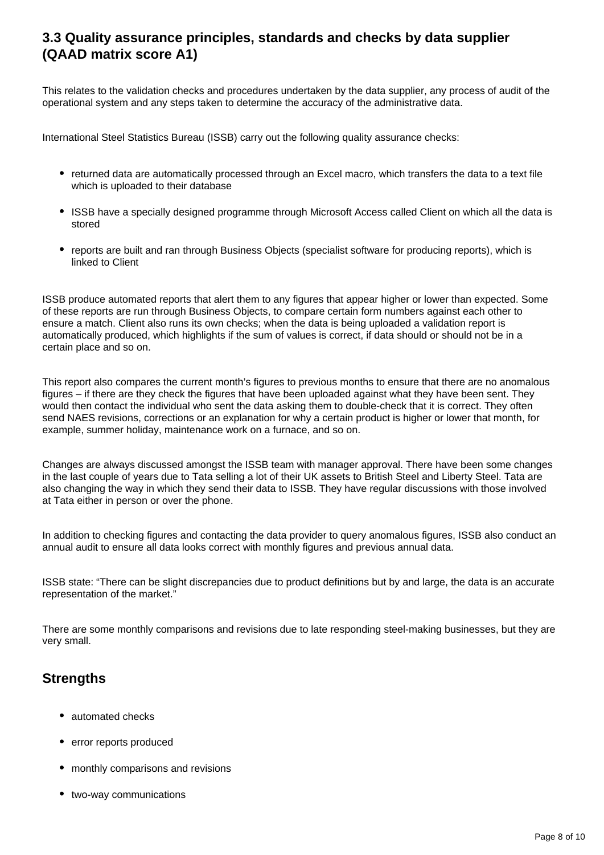### **3.3 Quality assurance principles, standards and checks by data supplier (QAAD matrix score A1)**

This relates to the validation checks and procedures undertaken by the data supplier, any process of audit of the operational system and any steps taken to determine the accuracy of the administrative data.

International Steel Statistics Bureau (ISSB) carry out the following quality assurance checks:

- returned data are automatically processed through an Excel macro, which transfers the data to a text file which is uploaded to their database
- ISSB have a specially designed programme through Microsoft Access called Client on which all the data is stored
- reports are built and ran through Business Objects (specialist software for producing reports), which is linked to Client

ISSB produce automated reports that alert them to any figures that appear higher or lower than expected. Some of these reports are run through Business Objects, to compare certain form numbers against each other to ensure a match. Client also runs its own checks; when the data is being uploaded a validation report is automatically produced, which highlights if the sum of values is correct, if data should or should not be in a certain place and so on.

This report also compares the current month's figures to previous months to ensure that there are no anomalous figures – if there are they check the figures that have been uploaded against what they have been sent. They would then contact the individual who sent the data asking them to double-check that it is correct. They often send NAES revisions, corrections or an explanation for why a certain product is higher or lower that month, for example, summer holiday, maintenance work on a furnace, and so on.

Changes are always discussed amongst the ISSB team with manager approval. There have been some changes in the last couple of years due to Tata selling a lot of their UK assets to British Steel and Liberty Steel. Tata are also changing the way in which they send their data to ISSB. They have regular discussions with those involved at Tata either in person or over the phone.

In addition to checking figures and contacting the data provider to query anomalous figures, ISSB also conduct an annual audit to ensure all data looks correct with monthly figures and previous annual data.

ISSB state: "There can be slight discrepancies due to product definitions but by and large, the data is an accurate representation of the market."

There are some monthly comparisons and revisions due to late responding steel-making businesses, but they are very small.

### **Strengths**

- automated checks
- error reports produced
- monthly comparisons and revisions
- two-way communications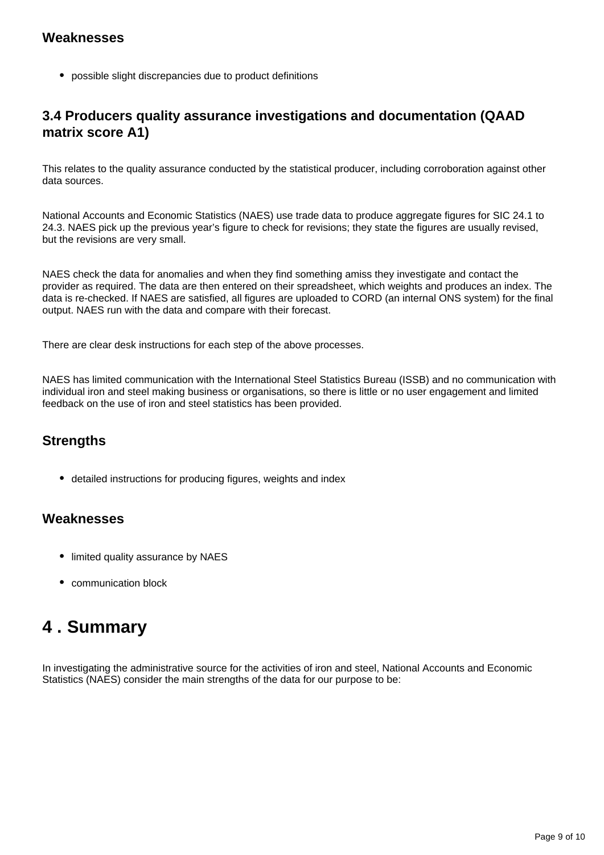#### **Weaknesses**

possible slight discrepancies due to product definitions

# **3.4 Producers quality assurance investigations and documentation (QAAD matrix score A1)**

This relates to the quality assurance conducted by the statistical producer, including corroboration against other data sources.

National Accounts and Economic Statistics (NAES) use trade data to produce aggregate figures for SIC 24.1 to 24.3. NAES pick up the previous year's figure to check for revisions; they state the figures are usually revised, but the revisions are very small.

NAES check the data for anomalies and when they find something amiss they investigate and contact the provider as required. The data are then entered on their spreadsheet, which weights and produces an index. The data is re-checked. If NAES are satisfied, all figures are uploaded to CORD (an internal ONS system) for the final output. NAES run with the data and compare with their forecast.

There are clear desk instructions for each step of the above processes.

NAES has limited communication with the International Steel Statistics Bureau (ISSB) and no communication with individual iron and steel making business or organisations, so there is little or no user engagement and limited feedback on the use of iron and steel statistics has been provided.

# **Strengths**

detailed instructions for producing figures, weights and index

#### **Weaknesses**

- limited quality assurance by NAES
- communication block

# <span id="page-8-0"></span>**4 . Summary**

In investigating the administrative source for the activities of iron and steel, National Accounts and Economic Statistics (NAES) consider the main strengths of the data for our purpose to be: